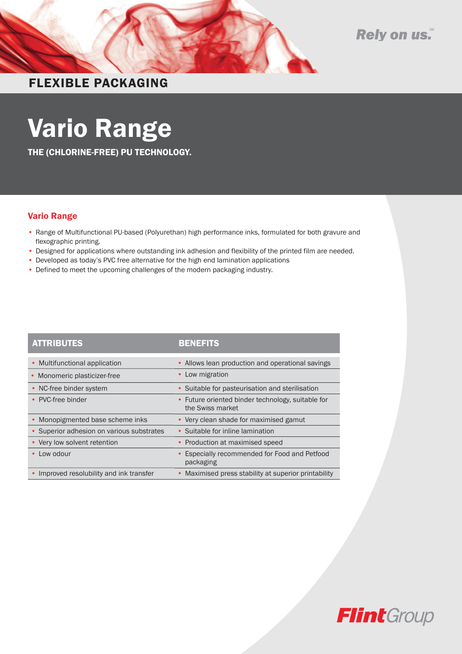



### FLEXIBLE PACKAGING

# Vario Range

THE (CHLORINE-FREE) PU TECHNOLOGY.

### Vario Range

- Range of Multifunctional PU-based (Polyurethan) high performance inks, formulated for both gravure and flexographic printing.
- Designed for applications where outstanding ink adhesion and flexibility of the printed film are needed.
- Developed as today's PVC free alternative for the high end lamination applications
- Defined to meet the upcoming challenges of the modern packaging industry.

| <b>ATTRIBUTES</b>                         | <b>BENEFITS</b>                                                       |
|-------------------------------------------|-----------------------------------------------------------------------|
| • Multifunctional application             | • Allows lean production and operational savings                      |
| Monomeric plasticizer-free                | • Low migration                                                       |
| • NC-free binder system                   | • Suitable for pasteurisation and sterilisation                       |
| • PVC-free binder                         | • Future oriented binder technology, suitable for<br>the Swiss market |
| Monopigmented base scheme inks            | • Very clean shade for maximised gamut                                |
| • Superior adhesion on various substrates | • Suitable for inline lamination                                      |
| • Very low solvent retention              | • Production at maximised speed                                       |
| Low odour                                 | Especially recommended for Food and Petfood<br>packaging              |
| • Improved resolubility and ink transfer  | • Maximised press stability at superior printability                  |